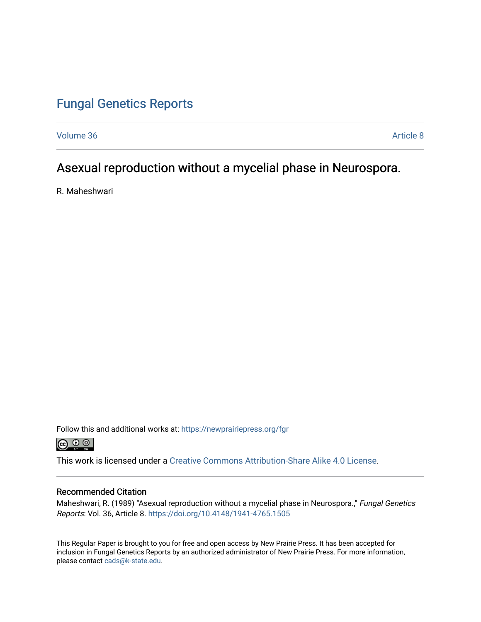## [Fungal Genetics Reports](https://newprairiepress.org/fgr)

[Volume 36](https://newprairiepress.org/fgr/vol36) [Article 8](https://newprairiepress.org/fgr/vol36/iss1/8) 

### Asexual reproduction without a mycelial phase in Neurospora.

R. Maheshwari

Follow this and additional works at: [https://newprairiepress.org/fgr](https://newprairiepress.org/fgr?utm_source=newprairiepress.org%2Ffgr%2Fvol36%2Fiss1%2F8&utm_medium=PDF&utm_campaign=PDFCoverPages) 



This work is licensed under a [Creative Commons Attribution-Share Alike 4.0 License.](https://creativecommons.org/licenses/by-sa/4.0/)

#### Recommended Citation

Maheshwari, R. (1989) "Asexual reproduction without a mycelial phase in Neurospora." Fungal Genetics Reports: Vol. 36, Article 8. <https://doi.org/10.4148/1941-4765.1505>

This Regular Paper is brought to you for free and open access by New Prairie Press. It has been accepted for inclusion in Fungal Genetics Reports by an authorized administrator of New Prairie Press. For more information, please contact [cads@k-state.edu.](mailto:cads@k-state.edu)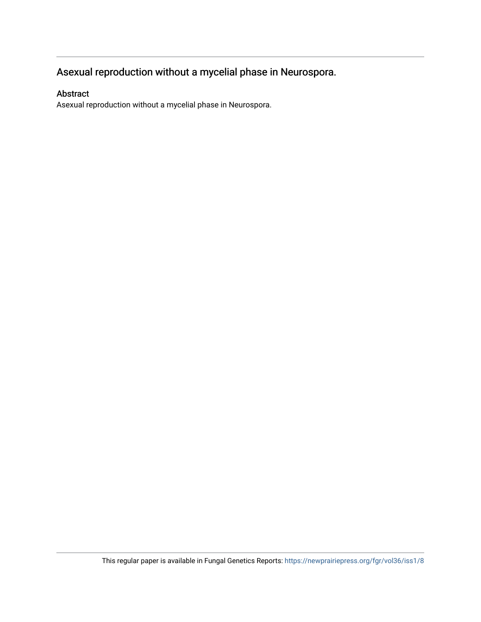# Asexual reproduction without a mycelial phase in Neurospora.

### Abstract

Asexual reproduction without a mycelial phase in Neurospora.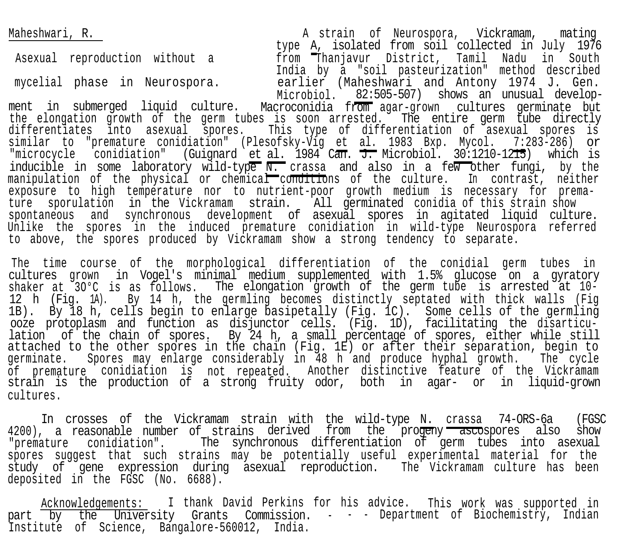Maheshwari, R. A strain of Neurospora, Vickramam, mating type A, isolated from soil collected in July 1976 from Thanjavur District, Tamil Nadu in South India by a "soil pasteurization" method described Asexual reproduction without a mycelial phase in Neurospora. earlier (Maheshwari and Antony 1974 J. Gen. Microbiol. 82:505-507) shows an unusual development in submerged liquid culture. Macroconidia from agar-grown cultures germinate but the elongation growth of the germ tubes is soon arrested. The entire germ tube directly differentiates into asexual spores. This type of differentiation of asexual spores is similar to "premature conidiation" (Plesofsky-Vig et al.1983 Bxp. Mycol. 7:283-286) or "microcycle conidiation" (Guignard et al. 1984 Can. J. Microbiol. 30:1210-1215) which is inducible in some laboratory wild-type N. crassa and also in a few other fungi, by the manipulation of the physical or chemical conditions of the culture. In contrast, neither exposure to high temperature nor to nutrient-poor growth medium is necessary for premature sporulation in the Vickramam strain. All germinated conidia of this strain show spontaneous and synchronous development of asexual spores in agitated liquid culture. Unlike the spores in the induced premature conidiation in wild-type Neurospora referred to above, the spores produced by Vickramam show a strong tendency to separate.

The time course of the morphological differentiation of the conidial germ tubes in cultures grown in Vogel's minimal medium supplemented with 1.5% glucose on a gyratory shaker at 3O°C is as follows. The elongation growth of the germ tube is arrested at 10- 12 h (Fig. 1A). By 14 h, the germling becomes distinctly septated with thick walls (Fig 1B). By 18 h, cells begin to enlarge basipetally (Fig. 1C). Some cells of the germling ooze protoplasm and function as disjunctor cells. (Fig. 1D), facilitating the disarticulation of the chain of spores. By 24 h, a small percentage of spores, either while still attached to the other spores in the chain (Fig. 1E) or after their separation, begin to germinate. Spores may enlarge considerably in 48 h and produce hyphal growth. The cycle of premature conidiation is not repeated. Another distinctive feature of the Vickramam strain is the production of a strong fruity odor, both in agar- or in liquid-grown cultures.

In crosses of the Vickramam strain with the wild-type N. crassa 74-ORS-6a (FGSC 4200), a reasonable number of strains derived from the progeny ascospores also show "premature conidiation". The synchronous differentiation of germ tubes into asexual spores suggest that such strains may be potentially useful experimental material for the study of gene expression during asexual reproduction. The Vickramam culture has been deposited in the FGSC (No. 6688).

Acknowledgements: I thank David Perkins for his advice. This work was supported in part by the University Grants Commission. - - - Department of Biochemistry, Indian Institute of Science, Bangalore-560012, India.